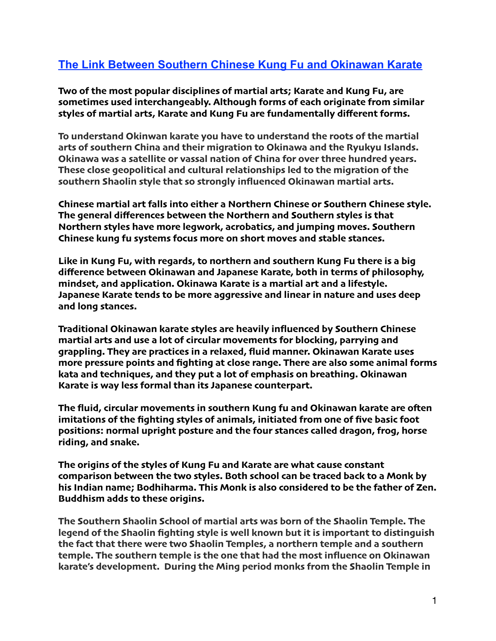## **The Link Between Southern Chinese Kung Fu and Okinawan Karate**

**Two of the most popular disciplines of martial arts; [Karate](https://www.coachup.com/martial_arts) and [Kung Fu](https://www.coachup.com/martial_arts), are sometimes used interchangeably. Although forms of each originate from similar styles of martial arts, [Karate](https://www.coachup.com/martial_arts) and [Kung Fu](https://www.coachup.com/martial_arts) are fundamentally different forms.**

**To understand Okinwan karate you have to understand the roots of the martial arts of southern China and their migration to Okinawa and the Ryukyu Islands. Okinawa was a satellite or vassal nation of China for over three hundred years. These close geopolitical and cultural relationships led to the migration of the southern Shaolin style that so strongly influenced Okinawan martial arts.**

**Chinese martial art falls into either a Northern Chinese or Southern Chinese style. The general differences between the Northern and Southern styles is that Northern styles have more legwork, acrobatics, and jumping moves. Southern Chinese kung fu systems focus more on short moves and stable stances.**

**Like in Kung Fu, with regards, to northern and southern Kung Fu there is a big difference between Okinawan and Japanese Karate, both in terms of philosophy, mindset, and application. Okinawa Karate is a martial art and a lifestyle. Japanese Karate tends to be more aggressive and linear in nature and uses deep and long stances.**

**Traditional Okinawan karate styles are heavily influenced by Southern Chinese martial arts and use a lot of circular movements for blocking, parrying and grappling. They are practices in a relaxed, fluid manner. Okinawan Karate uses more pressure points and fighting at close range. There are also some animal forms kata and techniques, and they put a lot of emphasis on breathing. Okinawan Karate is way less formal than its Japanese counterpart.**

**The fluid, circular movements in southern Kung fu and Okinawan karate are ofen imitations of the fighting styles of animals, initiated from one of five basic foot positions: normal upright posture and the four stances called dragon, frog, horse riding, and snake.**

**The origins of the styles of [Kung Fu](https://www.coachup.com/martial_arts) and [Karate](https://www.coachup.com/martial_arts) are what cause constant comparison between the two styles. Both school can be traced back to a Monk by his Indian name; Bodhiharma. This Monk is also considered to be the father of Zen. Buddhism adds to these origins.**

**The Southern Shaolin School of martial arts was born of the Shaolin Temple. The legend of the Shaolin fighting style is well known but it is important to distinguish the fact that there were two Shaolin Temples, a northern temple and a southern temple. The southern temple is the one that had the most influence on Okinawan karate's development. During the Ming period monks from the Shaolin Temple in**